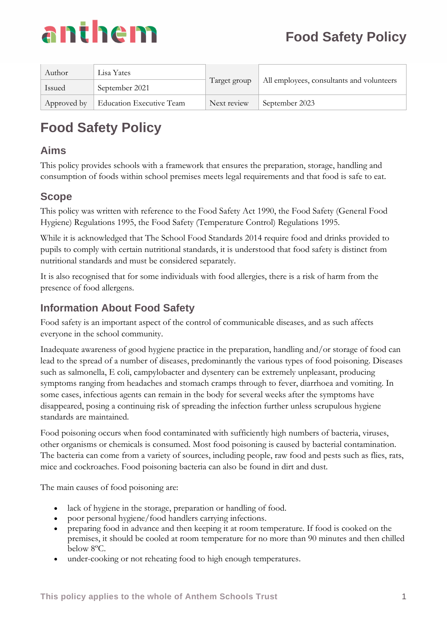

| Author | Lisa Yates                           | Target group | All employees, consultants and volunteers |
|--------|--------------------------------------|--------------|-------------------------------------------|
| Issued | September 2021                       |              |                                           |
|        | Approved by Education Executive Team | Next review  | September 2023                            |

### **Aims**

This policy provides schools with a framework that ensures the preparation, storage, handling and consumption of foods within school premises meets legal requirements and that food is safe to eat.

## **Scope**

This policy was written with reference to the Food Safety Act 1990, the Food Safety (General Food Hygiene) Regulations 1995, the Food Safety (Temperature Control) Regulations 1995.

While it is acknowledged that The School Food Standards 2014 require food and drinks provided to pupils to comply with certain nutritional standards, it is understood that food safety is distinct from nutritional standards and must be considered separately.

It is also recognised that for some individuals with food allergies, there is a risk of harm from the presence of food allergens.

## **Information About Food Safety**

Food safety is an important aspect of the control of communicable diseases, and as such affects everyone in the school community.

Inadequate awareness of good hygiene practice in the preparation, handling and/or storage of food can lead to the spread of a number of diseases, predominantly the various types of food poisoning. Diseases such as salmonella, E coli, campylobacter and dysentery can be extremely unpleasant, producing symptoms ranging from headaches and stomach cramps through to fever, diarrhoea and vomiting. In some cases, infectious agents can remain in the body for several weeks after the symptoms have disappeared, posing a continuing risk of spreading the infection further unless scrupulous hygiene standards are maintained.

Food poisoning occurs when food contaminated with sufficiently high numbers of bacteria, viruses, other organisms or chemicals is consumed. Most food poisoning is caused by bacterial contamination. The bacteria can come from a variety of sources, including people, raw food and pests such as flies, rats, mice and cockroaches. Food poisoning bacteria can also be found in dirt and dust.

The main causes of food poisoning are:

- lack of hygiene in the storage, preparation or handling of food.
- poor personal hygiene/food handlers carrying infections.
- preparing food in advance and then keeping it at room temperature. If food is cooked on the premises, it should be cooled at room temperature for no more than 90 minutes and then chilled below 8ºC.
- under-cooking or not reheating food to high enough temperatures.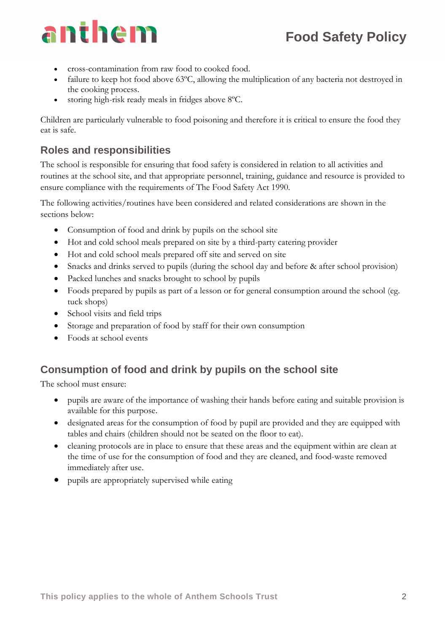- cross-contamination from raw food to cooked food.
- failure to keep hot food above 63°C, allowing the multiplication of any bacteria not destroyed in the cooking process.
- storing high-risk ready meals in fridges above 8ºC.

Children are particularly vulnerable to food poisoning and therefore it is critical to ensure the food they eat is safe.

### **Roles and responsibilities**

The school is responsible for ensuring that food safety is considered in relation to all activities and routines at the school site, and that appropriate personnel, training, guidance and resource is provided to ensure compliance with the requirements of The Food Safety Act 1990.

The following activities/routines have been considered and related considerations are shown in the sections below:

- Consumption of food and drink by pupils on the school site
- Hot and cold school meals prepared on site by a third-party catering provider
- Hot and cold school meals prepared off site and served on site
- Snacks and drinks served to pupils (during the school day and before & after school provision)
- Packed lunches and snacks brought to school by pupils
- Foods prepared by pupils as part of a lesson or for general consumption around the school (eg. tuck shops)
- School visits and field trips
- Storage and preparation of food by staff for their own consumption
- Foods at school events

### **Consumption of food and drink by pupils on the school site**

The school must ensure:

- pupils are aware of the importance of washing their hands before eating and suitable provision is available for this purpose.
- designated areas for the consumption of food by pupil are provided and they are equipped with tables and chairs (children should not be seated on the floor to eat).
- cleaning protocols are in place to ensure that these areas and the equipment within are clean at the time of use for the consumption of food and they are cleaned, and food-waste removed immediately after use.
- pupils are appropriately supervised while eating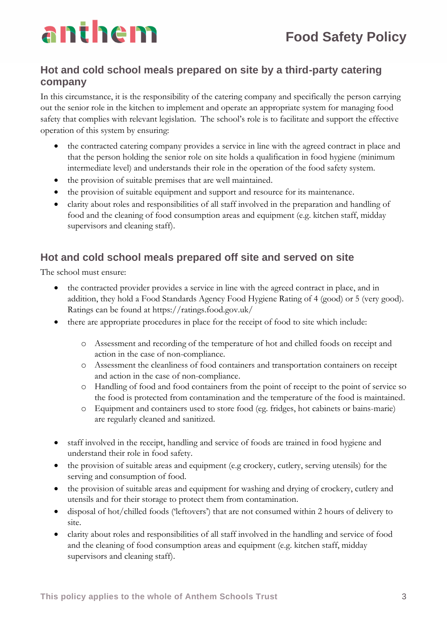## **Hot and cold school meals prepared on site by a third-party catering company**

In this circumstance, it is the responsibility of the catering company and specifically the person carrying out the senior role in the kitchen to implement and operate an appropriate system for managing food safety that complies with relevant legislation. The school's role is to facilitate and support the effective operation of this system by ensuring:

- the contracted catering company provides a service in line with the agreed contract in place and that the person holding the senior role on site holds a qualification in food hygiene (minimum intermediate level) and understands their role in the operation of the food safety system.
- the provision of suitable premises that are well maintained.
- the provision of suitable equipment and support and resource for its maintenance.
- clarity about roles and responsibilities of all staff involved in the preparation and handling of food and the cleaning of food consumption areas and equipment (e.g. kitchen staff, midday supervisors and cleaning staff).

## **Hot and cold school meals prepared off site and served on site**

The school must ensure:

- the contracted provider provides a service in line with the agreed contract in place, and in addition, they hold a Food Standards Agency Food Hygiene Rating of 4 (good) or 5 (very good). Ratings can be found at https://ratings.food.gov.uk/
- there are appropriate procedures in place for the receipt of food to site which include:
	- o Assessment and recording of the temperature of hot and chilled foods on receipt and action in the case of non-compliance.
	- o Assessment the cleanliness of food containers and transportation containers on receipt and action in the case of non-compliance.
	- o Handling of food and food containers from the point of receipt to the point of service so the food is protected from contamination and the temperature of the food is maintained.
	- o Equipment and containers used to store food (eg. fridges, hot cabinets or bains-marie) are regularly cleaned and sanitized.
- staff involved in the receipt, handling and service of foods are trained in food hygiene and understand their role in food safety.
- the provision of suitable areas and equipment (e.g crockery, cutlery, serving utensils) for the serving and consumption of food.
- the provision of suitable areas and equipment for washing and drying of crockery, cutlery and utensils and for their storage to protect them from contamination.
- disposal of hot/chilled foods ('leftovers') that are not consumed within 2 hours of delivery to site.
- clarity about roles and responsibilities of all staff involved in the handling and service of food and the cleaning of food consumption areas and equipment (e.g. kitchen staff, midday supervisors and cleaning staff).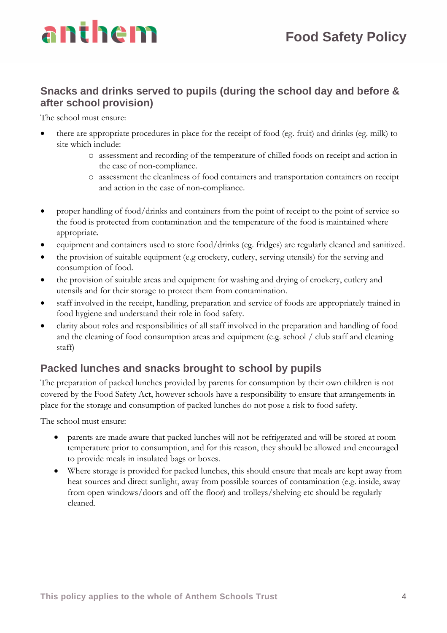

### **Snacks and drinks served to pupils (during the school day and before & after school provision)**

The school must ensure:

- there are appropriate procedures in place for the receipt of food (eg. fruit) and drinks (eg. milk) to site which include:
	- o assessment and recording of the temperature of chilled foods on receipt and action in the case of non-compliance.
	- o assessment the cleanliness of food containers and transportation containers on receipt and action in the case of non-compliance.
- proper handling of food/drinks and containers from the point of receipt to the point of service so the food is protected from contamination and the temperature of the food is maintained where appropriate.
- equipment and containers used to store food/drinks (eg. fridges) are regularly cleaned and sanitized.
- the provision of suitable equipment (e.g crockery, cutlery, serving utensils) for the serving and consumption of food.
- the provision of suitable areas and equipment for washing and drying of crockery, cutlery and utensils and for their storage to protect them from contamination.
- staff involved in the receipt, handling, preparation and service of foods are appropriately trained in food hygiene and understand their role in food safety.
- clarity about roles and responsibilities of all staff involved in the preparation and handling of food and the cleaning of food consumption areas and equipment (e.g. school / club staff and cleaning staff)

## **Packed lunches and snacks brought to school by pupils**

The preparation of packed lunches provided by parents for consumption by their own children is not covered by the Food Safety Act, however schools have a responsibility to ensure that arrangements in place for the storage and consumption of packed lunches do not pose a risk to food safety.

The school must ensure:

- parents are made aware that packed lunches will not be refrigerated and will be stored at room temperature prior to consumption, and for this reason, they should be allowed and encouraged to provide meals in insulated bags or boxes.
- Where storage is provided for packed lunches, this should ensure that meals are kept away from heat sources and direct sunlight, away from possible sources of contamination (e.g. inside, away from open windows/doors and off the floor) and trolleys/shelving etc should be regularly cleaned.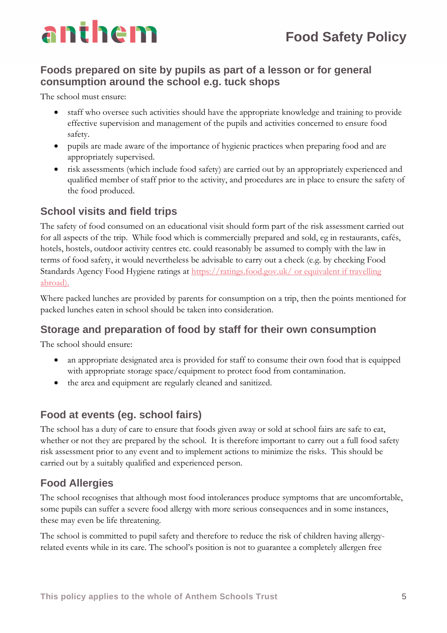## **Foods prepared on site by pupils as part of a lesson or for general consumption around the school e.g. tuck shops**

The school must ensure:

- staff who oversee such activities should have the appropriate knowledge and training to provide effective supervision and management of the pupils and activities concerned to ensure food safety.
- pupils are made aware of the importance of hygienic practices when preparing food and are appropriately supervised.
- risk assessments (which include food safety) are carried out by an appropriately experienced and qualified member of staff prior to the activity, and procedures are in place to ensure the safety of the food produced.

### **School visits and field trips**

The safety of food consumed on an educational visit should form part of the risk assessment carried out for all aspects of the trip. While food which is commercially prepared and sold, eg in restaurants, cafés, hotels, hostels, outdoor activity centres etc. could reasonably be assumed to comply with the law in terms of food safety, it would nevertheless be advisable to carry out a check (e.g. by checking Food Standards Agency Food Hygiene ratings at<https://ratings.food.gov.uk/> or equivalent if travelling abroad).

Where packed lunches are provided by parents for consumption on a trip, then the points mentioned for packed lunches eaten in school should be taken into consideration.

### **Storage and preparation of food by staff for their own consumption**

The school should ensure:

- an appropriate designated area is provided for staff to consume their own food that is equipped with appropriate storage space/equipment to protect food from contamination.
- the area and equipment are regularly cleaned and sanitized.

### **Food at events (eg. school fairs)**

The school has a duty of care to ensure that foods given away or sold at school fairs are safe to eat, whether or not they are prepared by the school. It is therefore important to carry out a full food safety risk assessment prior to any event and to implement actions to minimize the risks. This should be carried out by a suitably qualified and experienced person.

## **Food Allergies**

The school recognises that although most food intolerances produce symptoms that are uncomfortable, some pupils can suffer a severe food allergy with more serious consequences and in some instances, these may even be life threatening.

The school is committed to pupil safety and therefore to reduce the risk of children having allergyrelated events while in its care. The school's position is not to guarantee a completely allergen free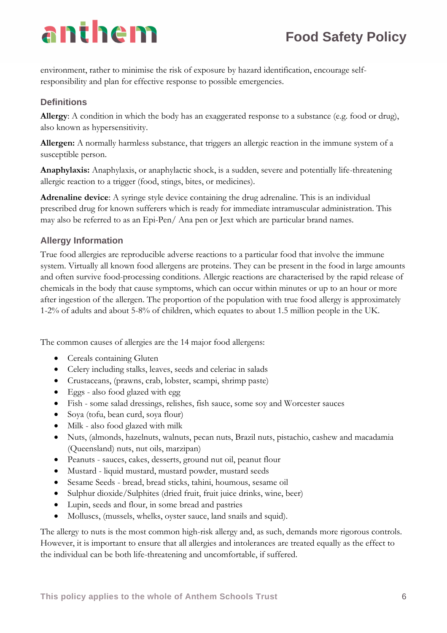environment, rather to minimise the risk of exposure by hazard identification, encourage selfresponsibility and plan for effective response to possible emergencies.

#### **Definitions**

**Allergy**: A condition in which the body has an exaggerated response to a substance (e.g. food or drug), also known as hypersensitivity.

**Allergen:** A normally harmless substance, that triggers an allergic reaction in the immune system of a susceptible person.

**Anaphylaxis:** Anaphylaxis, or anaphylactic shock, is a sudden, severe and potentially life-threatening allergic reaction to a trigger (food, stings, bites, or medicines).

**Adrenaline device**: A syringe style device containing the drug adrenaline. This is an individual prescribed drug for known sufferers which is ready for immediate intramuscular administration. This may also be referred to as an Epi-Pen/ Ana pen or Jext which are particular brand names.

#### **Allergy Information**

True food allergies are reproducible adverse reactions to a particular food that involve the immune system. Virtually all known food allergens are proteins. They can be present in the food in large amounts and often survive food-processing conditions. Allergic reactions are characterised by the rapid release of chemicals in the body that cause symptoms, which can occur within minutes or up to an hour or more after ingestion of the allergen. The proportion of the population with true food allergy is approximately 1-2% of adults and about 5-8% of children, which equates to about 1.5 million people in the UK.

The common causes of allergies are the 14 major food allergens:

- Cereals containing Gluten
- Celery including stalks, leaves, seeds and celeriac in salads
- Crustaceans, (prawns, crab, lobster, scampi, shrimp paste)
- Eggs also food glazed with egg
- Fish some salad dressings, relishes, fish sauce, some soy and Worcester sauces
- Soya (tofu, bean curd, soya flour)
- Milk also food glazed with milk
- Nuts, (almonds, hazelnuts, walnuts, pecan nuts, Brazil nuts, pistachio, cashew and macadamia (Queensland) nuts, nut oils, marzipan)
- Peanuts sauces, cakes, desserts, ground nut oil, peanut flour
- Mustard liquid mustard, mustard powder, mustard seeds
- Sesame Seeds bread, bread sticks, tahini, houmous, sesame oil
- Sulphur dioxide/Sulphites (dried fruit, fruit juice drinks, wine, beer)
- Lupin, seeds and flour, in some bread and pastries
- Molluscs, (mussels, whelks, oyster sauce, land snails and squid).

The allergy to nuts is the most common high-risk allergy and, as such, demands more rigorous controls. However, it is important to ensure that all allergies and intolerances are treated equally as the effect to the individual can be both life-threatening and uncomfortable, if suffered.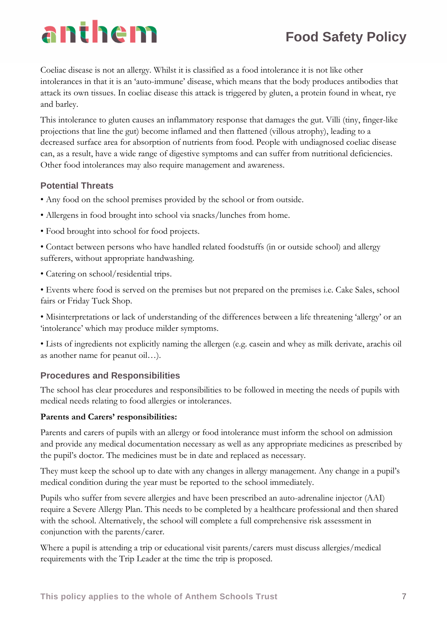# anthem

Coeliac disease is not an allergy. Whilst it is classified as a food intolerance it is not like other intolerances in that it is an 'auto-immune' disease, which means that the body produces antibodies that attack its own tissues. In coeliac disease this attack is triggered by gluten, a protein found in wheat, rye and barley.

This intolerance to gluten causes an inflammatory response that damages the gut. Villi (tiny, finger-like projections that line the gut) become inflamed and then flattened (villous atrophy), leading to a decreased surface area for absorption of nutrients from food. People with undiagnosed coeliac disease can, as a result, have a wide range of digestive symptoms and can suffer from nutritional deficiencies. Other food intolerances may also require management and awareness.

#### **Potential Threats**

- Any food on the school premises provided by the school or from outside.
- Allergens in food brought into school via snacks/lunches from home.
- Food brought into school for food projects.

• Contact between persons who have handled related foodstuffs (in or outside school) and allergy sufferers, without appropriate handwashing.

• Catering on school/residential trips.

• Events where food is served on the premises but not prepared on the premises i.e. Cake Sales, school fairs or Friday Tuck Shop.

• Misinterpretations or lack of understanding of the differences between a life threatening 'allergy' or an 'intolerance' which may produce milder symptoms.

• Lists of ingredients not explicitly naming the allergen (e.g. casein and whey as milk derivate, arachis oil as another name for peanut oil…).

#### **Procedures and Responsibilities**

The school has clear procedures and responsibilities to be followed in meeting the needs of pupils with medical needs relating to food allergies or intolerances.

#### **Parents and Carers' responsibilities:**

Parents and carers of pupils with an allergy or food intolerance must inform the school on admission and provide any medical documentation necessary as well as any appropriate medicines as prescribed by the pupil's doctor. The medicines must be in date and replaced as necessary.

They must keep the school up to date with any changes in allergy management. Any change in a pupil's medical condition during the year must be reported to the school immediately.

Pupils who suffer from severe allergies and have been prescribed an auto-adrenaline injector (AAI) require a Severe Allergy Plan. This needs to be completed by a healthcare professional and then shared with the school. Alternatively, the school will complete a full comprehensive risk assessment in conjunction with the parents/carer.

Where a pupil is attending a trip or educational visit parents/carers must discuss allergies/medical requirements with the Trip Leader at the time the trip is proposed.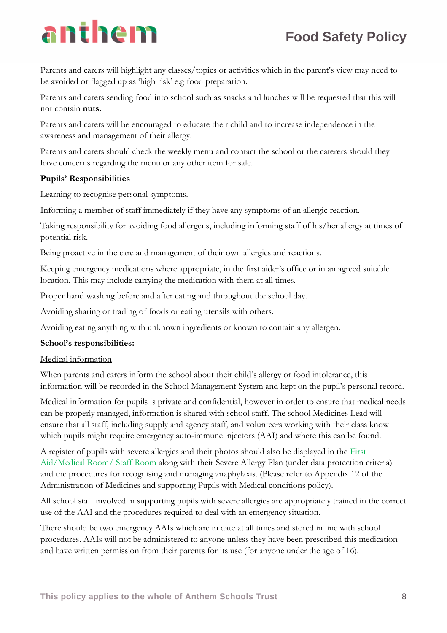# anthem

Parents and carers will highlight any classes/topics or activities which in the parent's view may need to be avoided or flagged up as 'high risk' e.g food preparation.

Parents and carers sending food into school such as snacks and lunches will be requested that this will not contain **nuts.**

Parents and carers will be encouraged to educate their child and to increase independence in the awareness and management of their allergy.

Parents and carers should check the weekly menu and contact the school or the caterers should they have concerns regarding the menu or any other item for sale.

#### **Pupils' Responsibilities**

Learning to recognise personal symptoms.

Informing a member of staff immediately if they have any symptoms of an allergic reaction.

Taking responsibility for avoiding food allergens, including informing staff of his/her allergy at times of potential risk.

Being proactive in the care and management of their own allergies and reactions.

Keeping emergency medications where appropriate, in the first aider's office or in an agreed suitable location. This may include carrying the medication with them at all times.

Proper hand washing before and after eating and throughout the school day.

Avoiding sharing or trading of foods or eating utensils with others.

Avoiding eating anything with unknown ingredients or known to contain any allergen.

#### **School's responsibilities:**

#### Medical information

When parents and carers inform the school about their child's allergy or food intolerance, this information will be recorded in the School Management System and kept on the pupil's personal record.

Medical information for pupils is private and confidential, however in order to ensure that medical needs can be properly managed, information is shared with school staff. The school Medicines Lead will ensure that all staff, including supply and agency staff, and volunteers working with their class know which pupils might require emergency auto-immune injectors (AAI) and where this can be found.

A register of pupils with severe allergies and their photos should also be displayed in the First Aid/Medical Room/ Staff Room along with their Severe Allergy Plan (under data protection criteria) and the procedures for recognising and managing anaphylaxis. (Please refer to Appendix 12 of the Administration of Medicines and supporting Pupils with Medical conditions policy).

All school staff involved in supporting pupils with severe allergies are appropriately trained in the correct use of the AAI and the procedures required to deal with an emergency situation.

There should be two emergency AAIs which are in date at all times and stored in line with school procedures. AAIs will not be administered to anyone unless they have been prescribed this medication and have written permission from their parents for its use (for anyone under the age of 16).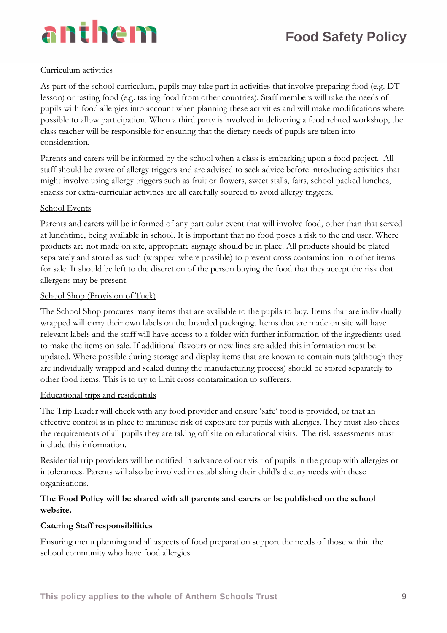#### Curriculum activities

As part of the school curriculum, pupils may take part in activities that involve preparing food (e.g. DT lesson) or tasting food (e.g. tasting food from other countries). Staff members will take the needs of pupils with food allergies into account when planning these activities and will make modifications where possible to allow participation. When a third party is involved in delivering a food related workshop, the class teacher will be responsible for ensuring that the dietary needs of pupils are taken into consideration.

Parents and carers will be informed by the school when a class is embarking upon a food project. All staff should be aware of allergy triggers and are advised to seek advice before introducing activities that might involve using allergy triggers such as fruit or flowers, sweet stalls, fairs, school packed lunches, snacks for extra-curricular activities are all carefully sourced to avoid allergy triggers.

#### School Events

Parents and carers will be informed of any particular event that will involve food, other than that served at lunchtime, being available in school. It is important that no food poses a risk to the end user. Where products are not made on site, appropriate signage should be in place. All products should be plated separately and stored as such (wrapped where possible) to prevent cross contamination to other items for sale. It should be left to the discretion of the person buying the food that they accept the risk that allergens may be present.

#### School Shop (Provision of Tuck)

The School Shop procures many items that are available to the pupils to buy. Items that are individually wrapped will carry their own labels on the branded packaging. Items that are made on site will have relevant labels and the staff will have access to a folder with further information of the ingredients used to make the items on sale. If additional flavours or new lines are added this information must be updated. Where possible during storage and display items that are known to contain nuts (although they are individually wrapped and sealed during the manufacturing process) should be stored separately to other food items. This is to try to limit cross contamination to sufferers.

#### Educational trips and residentials

The Trip Leader will check with any food provider and ensure 'safe' food is provided, or that an effective control is in place to minimise risk of exposure for pupils with allergies. They must also check the requirements of all pupils they are taking off site on educational visits. The risk assessments must include this information.

Residential trip providers will be notified in advance of our visit of pupils in the group with allergies or intolerances. Parents will also be involved in establishing their child's dietary needs with these organisations.

#### **The Food Policy will be shared with all parents and carers or be published on the school website.**

#### **Catering Staff responsibilities**

Ensuring menu planning and all aspects of food preparation support the needs of those within the school community who have food allergies.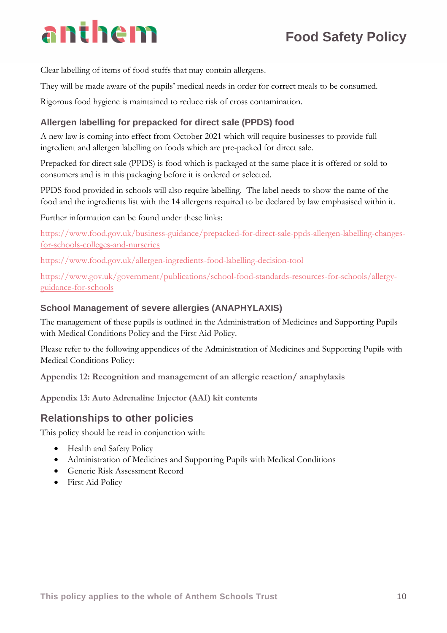# **Food Safety Policy**

Clear labelling of items of food stuffs that may contain allergens.

They will be made aware of the pupils' medical needs in order for correct meals to be consumed.

Rigorous food hygiene is maintained to reduce risk of cross contamination.

#### **Allergen labelling for prepacked for direct sale (PPDS) food**

A new law is coming into effect from October 2021 which will require businesses to provide full ingredient and allergen labelling on foods which are pre-packed for direct sale.

Prepacked for direct sale (PPDS) is food which is packaged at the same place it is offered or sold to consumers and is in this packaging before it is ordered or selected.

PPDS food provided in schools will also require labelling. The label needs to show the name of the food and the ingredients list with the 14 allergens required to be declared by law emphasised within it.

Further information can be found under these links:

[https://www.food.gov.uk/business-guidance/prepacked-for-direct-sale-ppds-allergen-labelling-changes](https://www.food.gov.uk/business-guidance/prepacked-for-direct-sale-ppds-allergen-labelling-changes-for-schools-colleges-and-nurseries)[for-schools-colleges-and-nurseries](https://www.food.gov.uk/business-guidance/prepacked-for-direct-sale-ppds-allergen-labelling-changes-for-schools-colleges-and-nurseries)

<https://www.food.gov.uk/allergen-ingredients-food-labelling-decision-tool>

[https://www.gov.uk/government/publications/school-food-standards-resources-for-schools/allergy](https://www.gov.uk/government/publications/school-food-standards-resources-for-schools/allergy-guidance-for-schools)[guidance-for-schools](https://www.gov.uk/government/publications/school-food-standards-resources-for-schools/allergy-guidance-for-schools)

#### **School Management of severe allergies (ANAPHYLAXIS)**

The management of these pupils is outlined in the Administration of Medicines and Supporting Pupils with Medical Conditions Policy and the First Aid Policy.

Please refer to the following appendices of the Administration of Medicines and Supporting Pupils with Medical Conditions Policy:

**Appendix 12: Recognition and management of an allergic reaction/ anaphylaxis**

**Appendix 13: Auto Adrenaline Injector (AAI) kit contents**

### **Relationships to other policies**

This policy should be read in conjunction with:

- Health and Safety Policy
- Administration of Medicines and Supporting Pupils with Medical Conditions
- Generic Risk Assessment Record
- First Aid Policy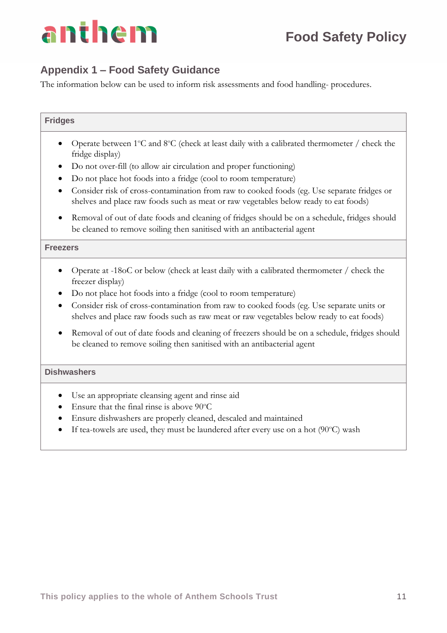

### **Appendix 1 – Food Safety Guidance**

The information below can be used to inform risk assessments and food handling- procedures.

#### **Fridges**

- Operate between  $1^{\circ}$ C and  $8^{\circ}$ C (check at least daily with a calibrated thermometer / check the fridge display)
- Do not over-fill (to allow air circulation and proper functioning)
- Do not place hot foods into a fridge (cool to room temperature)
- Consider risk of cross-contamination from raw to cooked foods (eg. Use separate fridges or shelves and place raw foods such as meat or raw vegetables below ready to eat foods)
- Removal of out of date foods and cleaning of fridges should be on a schedule, fridges should be cleaned to remove soiling then sanitised with an antibacterial agent

#### **Freezers**

- Operate at -18oC or below (check at least daily with a calibrated thermometer / check the freezer display)
- Do not place hot foods into a fridge (cool to room temperature)
- Consider risk of cross-contamination from raw to cooked foods (eg. Use separate units or shelves and place raw foods such as raw meat or raw vegetables below ready to eat foods)
- Removal of out of date foods and cleaning of freezers should be on a schedule, fridges should be cleaned to remove soiling then sanitised with an antibacterial agent

#### **Dishwashers**

- Use an appropriate cleansing agent and rinse aid
- Ensure that the final rinse is above  $90^{\circ}$ C
- Ensure dishwashers are properly cleaned, descaled and maintained
- If tea-towels are used, they must be laundered after every use on a hot  $(90^{\circ}C)$  wash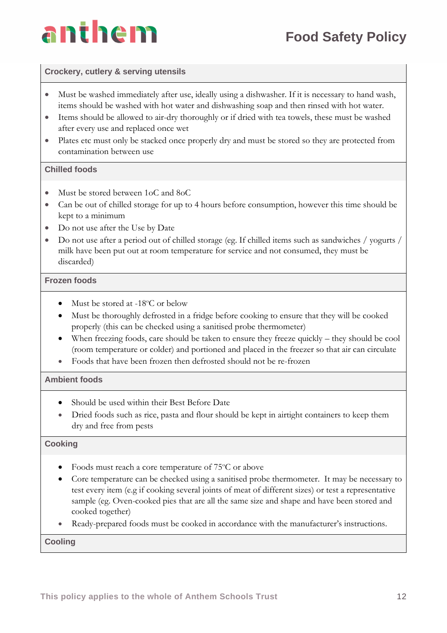

#### **Crockery, cutlery & serving utensils**

- Must be washed immediately after use, ideally using a dishwasher. If it is necessary to hand wash, items should be washed with hot water and dishwashing soap and then rinsed with hot water.
- Items should be allowed to air-dry thoroughly or if dried with tea towels, these must be washed after every use and replaced once wet
- Plates etc must only be stacked once properly dry and must be stored so they are protected from contamination between use

#### **Chilled foods**

- Must be stored between 1oC and 8oC
- Can be out of chilled storage for up to 4 hours before consumption, however this time should be kept to a minimum
- Do not use after the Use by Date
- Do not use after a period out of chilled storage (eg. If chilled items such as sandwiches / yogurts / milk have been put out at room temperature for service and not consumed, they must be discarded)

#### **Frozen foods**

- Must be stored at  $-18^{\circ}$ C or below
- Must be thoroughly defrosted in a fridge before cooking to ensure that they will be cooked properly (this can be checked using a sanitised probe thermometer)
- When freezing foods, care should be taken to ensure they freeze quickly they should be cool (room temperature or colder) and portioned and placed in the freezer so that air can circulate
- Foods that have been frozen then defrosted should not be re-frozen

#### **Ambient foods**

- Should be used within their Best Before Date
- Dried foods such as rice, pasta and flour should be kept in airtight containers to keep them dry and free from pests

#### **Cooking**

- Foods must reach a core temperature of  $75^{\circ}$ C or above
- Core temperature can be checked using a sanitised probe thermometer. It may be necessary to test every item (e.g if cooking several joints of meat of different sizes) or test a representative sample (eg. Oven-cooked pies that are all the same size and shape and have been stored and cooked together)
- Ready-prepared foods must be cooked in accordance with the manufacturer's instructions.

**Cooling**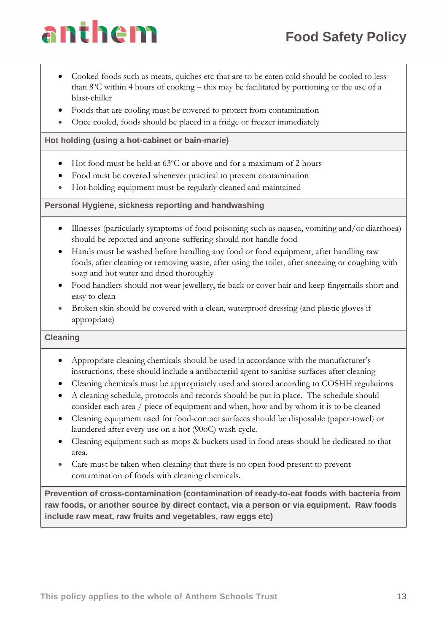# anthem

- Cooked foods such as meats, quiches etc that are to be eaten cold should be cooled to less than  $8^{\circ}$ C within 4 hours of cooking – this may be facilitated by portioning or the use of a blast-chiller
- Foods that are cooling must be covered to protect from contamination
- Once cooled, foods should be placed in a fridge or freezer immediately

#### **Hot holding (using a hot-cabinet or bain-marie)**

- Hot food must be held at  $63^{\circ}$ C or above and for a maximum of 2 hours
- Food must be covered whenever practical to prevent contamination
- Hot-holding equipment must be regularly cleaned and maintained

#### **Personal Hygiene, sickness reporting and handwashing**

- Illnesses (particularly symptoms of food poisoning such as nausea, vomiting and/or diarrhoea) should be reported and anyone suffering should not handle food
- Hands must be washed before handling any food or food equipment, after handling raw foods, after cleaning or removing waste, after using the toilet, after sneezing or coughing with soap and hot water and dried thoroughly
- Food handlers should not wear jewellery, tie back or cover hair and keep fingernails short and easy to clean
- Broken skin should be covered with a clean, waterproof dressing (and plastic gloves if appropriate)

#### **Cleaning**

- Appropriate cleaning chemicals should be used in accordance with the manufacturer's instructions, these should include a antibacterial agent to sanitise surfaces after cleaning
- Cleaning chemicals must be appropriately used and stored according to COSHH regulations
- A cleaning schedule, protocols and records should be put in place. The schedule should consider each area / piece of equipment and when, how and by whom it is to be cleaned
- Cleaning equipment used for food-contact surfaces should be disposable (paper-towel) or laundered after every use on a hot (90oC) wash cycle.
- Cleaning equipment such as mops & buckets used in food areas should be dedicated to that area.
- Care must be taken when cleaning that there is no open food present to prevent contamination of foods with cleaning chemicals.

**Prevention of cross-contamination (contamination of ready-to-eat foods with bacteria from raw foods, or another source by direct contact, via a person or via equipment. Raw foods include raw meat, raw fruits and vegetables, raw eggs etc)**